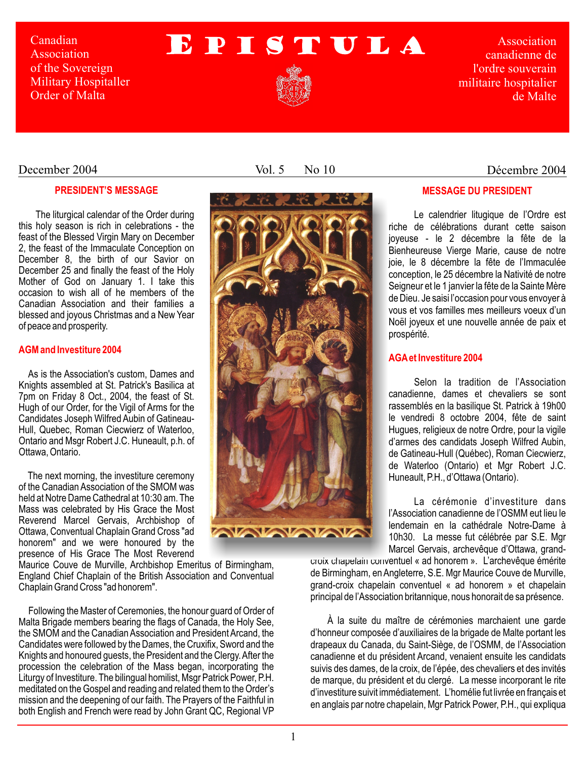Canadian Association of the Sovereign Military Hospitaller Order of Malta

# EPISTULA



Association canadienne de l'ordre souverain militaire hospitalier de Malte

Décembre 2004

## December 2004

## **PRESIDENT'S MESSAGE**

The liturgical calendar of the Order during this holy season is rich in celebrations - the feast of the Blessed Virgin Mary on December 2, the feast of the Immaculate Conception on December 8, the birth of our Savior on December 25 and finally the feast of the Holy Mother of God on January 1. I take this occasion to wish all of he members of the Canadian Association and their families a blessed and joyous Christmas and a New Year of peace and prosperity.

## **AGM and Investiture 2004**

As is the Association's custom, Dames and Knights assembled at St. Patrick's Basilica at 7pm on Friday 8 Oct., 2004, the feast of St. Hugh of our Order, for the Vigil of Arms for the Candidates Joseph Wilfred Aubin of Gatineau-Hull, Quebec, Roman Ciecwierz of Waterloo, Ontario and Msgr Robert J.C. Huneault, p.h. of Ottawa, Ontario.

The next morning, the investiture ceremony of the Canadian Association of the SMOM was held at Notre Dame Cathedral at 10:30 am. The Mass was celebrated by His Grace the Most Reverend Marcel Gervais, Archbishop of Ottawa, Conventual Chaplain Grand Cross "ad honorem" and we were honoured by the presence of His Grace The Most Reverend

Maurice Couve de Murville, Archbishop Emeritus of Birmingham, England Chief Chaplain of the British Association and Conventual Chaplain Grand Cross "ad honorem".

Following the Master of Ceremonies, the honour guard of Order of Malta Brigade members bearing the flags of Canada, the Holy See, the SMOM and the Canadian Association and President Arcand, the Candidates were followed by the Dames, the Cruxifix, Sword and the Knights and honoured guests, the President and the Clergy. After the procession the celebration of the Mass began, incorporating the Liturgy of Investiture. The bilingual homilist, Msgr Patrick Power, P.H. meditated on the Gospel and reading and related them to the Order's mission and the deepening of our faith. The Prayers of the Faithful in both English and French were read by John Grant QC, Regional VP

Vol. 5 No 10



## **MESSAGE DU PRESIDENT**

Le calendrier litugique de l'Ordre est riche de célébrations durant cette saison joyeuse - le 2 décembre la fête de la Bienheureuse Vierge Marie, cause de notre joie, le 8 décembre la fête de l'Immaculée conception, le 25 décembre la Nativité de notre Seigneur et le 1 janvier la fête de la Sainte Mère de Dieu. Je saisi l'occasion pour vous envoyer à vous et vos familles mes meilleurs voeux d'un Noël joyeux et une nouvelle année de paix et prospérité.

## **AGAet Investiture 2004**

Selon la tradition de l'Association canadienne, dames et chevaliers se sont rassemblés en la basilique St. Patrick à 19h00 le vendredi 8 octobre 2004, fête de saint Hugues, religieux de notre Ordre, pour la vigile d'armes des candidats Joseph Wilfred Aubin, de Gatineau-Hull (Québec), Roman Ciecwierz, de Waterloo (Ontario) et Mgr Robert J.C. Huneault, P.H., d'Ottawa (Ontario).

La cérémonie d'investiture dans l'Association canadienne de l'OSMM eut lieu le lendemain en la cathédrale Notre-Dame à 10h30. La messe fut célébrée par S.E. Mgr Marcel Gervais, archevêque d'Ottawa, grand-

croix chapelain conventuel « ad honorem ». L'archevêque émérite de Birmingham, en Angleterre, S.E. Mgr Maurice Couve de Murville, grand-croix chapelain conventuel « ad honorem » et chapelain principal de l'Association britannique, nous honorait de sa présence.

À la suite du maître de cérémonies marchaient une garde d'honneur composée d'auxiliaires de la brigade de Malte portant les drapeaux du Canada, du Saint-Siège, de l'OSMM, de l'Association canadienne et du président Arcand, venaient ensuite les candidats suivis des dames, de la croix, de l'épée, des chevaliers et des invités de marque, du président et du clergé. La messe incorporant le rite d'investiture suivit immédiatement. L'homélie fut livrée en français et en anglais par notre chapelain, Mgr Patrick Power, P.H., qui expliqua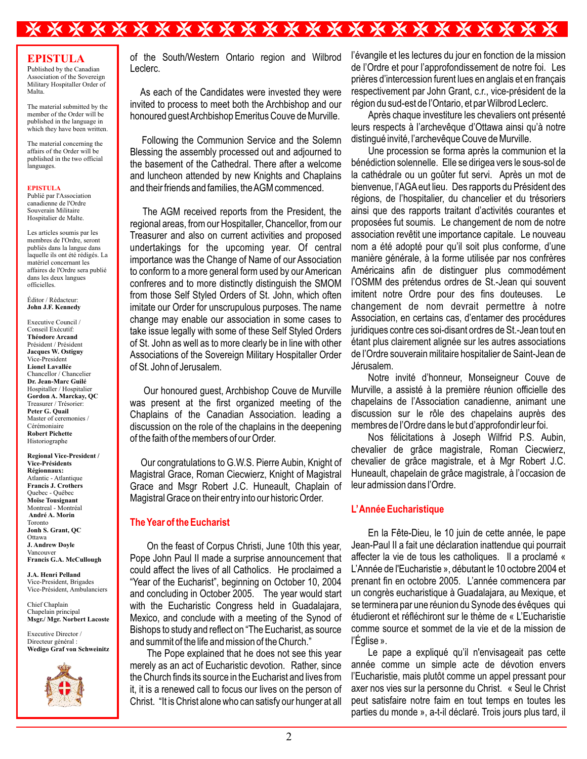## **\*\*\*\*\*\*\*\*\*\*\*\*\*\*\*\*\*\*\*\*\*\*\*\*\***

## **EPISTULA**

Published by the Canadian Association of the Sovereign Military Hospitaller Order of Malta.

The material submitted by the member of the Order will be published in the language in which they have been written.

The material concerning the affairs of the Order will be published in the two official languages.

#### **EPISTULA**

Publié par l'Association canadienne de l'Ordre Souverain Militaire Hospitalier de Malte.

Les articles soumis par les membres de l'Ordre, seront publiés dans la langue dans laquelle ils ont été rédigés. La matériel concernant les affaires de l'Ordre sera publié dans les deux langues officielles.

Éditor / Rédacteur: **John J.F. Kennedy**

Executive Council / Conseil Exécutif: **Théodore Arcand**  Président / Président **Jacques W. Ostiguy** Vice-President **Lionel Lavallée** Chancellor / Chancelier **Dr. Jean-Marc Guilé** Hospitaller / Hospitalier **Gordon A. Marckay, QC** Treasurer / Trésorier: **Peter G. Quail** Master of ceremonies / Cérémoniaire **Robert Pichette** Historiographe

**Regional Vice-President / Vice-Présidents Régionnaux:** Atlantic - Atlantique **Francis J. Crothers** Quebec - Québec **Moïse Tousignant** Montreal - Montréal **André A. Morin** Toronto **Jonh S. Grant, QC** Ottawa **J. Andrew Doyle** Vancouver **Francis G.A. McCullough**

**J.A. Henri Pelland** Vice-President, Brigades Vice-Président, Ambulanciers

Chief Chaplain Chapelain principal **Msgr./ Mgr. Norbert Lacoste**

Executive Director / Directeur général : **Wedigo Graf von Schweinitz**



of the South/Western Ontario region and Wilbrod Leclerc.

 As each of the Candidates were invested they were invited to process to meet both the Archbishop and our honoured guest Archbishop Emeritus Couve de Murville.

Following the Communion Service and the Solemn Blessing the assembly processed out and adjourned to the basement of the Cathedral. There after a welcome and luncheon attended by new Knights and Chaplains and their friends and families, the AGM commenced.

The AGM received reports from the President, the regional areas, from our Hospitaller, Chancellor, from our Treasurer and also on current activities and proposed undertakings for the upcoming year. Of central importance was the Change of Name of our Association to conform to a more general form used by our American confreres and to more distinctly distinguish the SMOM from those Self Styled Orders of St. John, which often imitate our Order for unscrupulous purposes. The name change may enable our association in some cases to take issue legally with some of these Self Styled Orders of St. John as well as to more clearly be in line with other Associations of the Sovereign Military Hospitaller Order of St. John of Jerusalem.

Our honoured guest, Archbishop Couve de Murville was present at the first organized meeting of the Chaplains of the Canadian Association. leading a discussion on the role of the chaplains in the deepening of the faith of the members of our Order.

Our congratulations to G.W.S. Pierre Aubin, Knight of Magistral Grace, Roman Ciecwierz, Knight of Magistral Grace and Msgr Robert J.C. Huneault, Chaplain of Magistral Grace on their entry into our historic Order.

### **The Year of the Eucharist**

On the feast of Corpus Christi, June 10th this year, Pope John Paul II made a surprise announcement that could affect the lives of all Catholics. He proclaimed a "Year of the Eucharist", beginning on October 10, 2004 and concluding in October 2005. The year would start with the Eucharistic Congress held in Guadalajara, Mexico, and conclude with a meeting of the Synod of Bishops to study and reflect on "The Eucharist, as source and summit of the life and mission of the Church."

The Pope explained that he does not see this year merely as an act of Eucharistic devotion. Rather, since the Church finds its source in the Eucharist and lives from it, it is a renewed call to focus our lives on the person of Christ. "It is Christ alone who can satisfy our hunger at all l'évangile et les lectures du jour en fonction de la mission de l'Ordre et pour l'approfondissement de notre foi. Les prières d'intercession furent lues en anglais et en français respectivement par John Grant, c.r., vice-président de la région du sud-est de l'Ontario, et par Wilbrod Leclerc.

Après chaque investiture les chevaliers ont présenté leurs respects à l'archevêque d'Ottawa ainsi qu'à notre distingué invité, l'archevêque Couve de Murville.

Une procession se forma après la communion et la bénédiction solennelle. Elle se dirigea vers le sous-sol de la cathédrale ou un goûter fut servi. Après un mot de bienvenue, l'AGAeut lieu. Des rapports du Président des régions, de l'hospitalier, du chancelier et du trésoriers ainsi que des rapports traitant d'activités courantes et proposées fut soumis. Le changement de nom de notre association revêtit une importance capitale. Le nouveau nom a été adopté pour qu'il soit plus conforme, d'une manière générale, à la forme utilisée par nos confrères Américains afin de distinguer plus commodément l'OSMM des prétendus ordres de St.-Jean qui souvent imitent notre Ordre pour des fins douteuses. Le changement de nom devrait permettre à notre Association, en certains cas, d'entamer des procédures juridiques contre ces soi-disant ordres de St.-Jean tout en étant plus clairement alignée sur les autres associations de l'Ordre souverain militaire hospitalier de Saint-Jean de Jérusalem.

Notre invité d'honneur, Monseigneur Couve de Murville, a assisté à la première réunion officielle des chapelains de l'Association canadienne, animant une discussion sur le rôle des chapelains auprès des membres de l'Ordre dans le but d'approfondir leur foi.

Nos félicitations à Joseph Wilfrid P.S. Aubin, chevalier de grâce magistrale, Roman Ciecwierz, chevalier de grâce magistrale, et à Mgr Robert J.C. Huneault, chapelain de grâce magistrale, à l'occasion de leur admission dans l'Ordre.

## **L'Année Eucharistique**

En la Fête-Dieu, le 10 juin de cette année, le pape Jean-Paul II a fait une déclaration inattendue qui pourrait affecter la vie de tous les catholiques. Il a proclamé « L'Année de l'Eucharistie », débutant le 10 octobre 2004 et prenant fin en octobre 2005. L'année commencera par un congrès eucharistique à Guadalajara, au Mexique, et se terminera par une réunion du Synode des évêques qui étudieront et réfléchiront sur le thème de « L'Eucharistie comme source et sommet de la vie et de la mission de l'Église ».

Le pape a expliqué qu'il n'envisageait pas cette année comme un simple acte de dévotion envers l'Eucharistie, mais plutôt comme un appel pressant pour axer nos vies sur la personne du Christ. « Seul le Christ peut satisfaire notre faim en tout temps en toutes les parties du monde », a-t-il déclaré. Trois jours plus tard, il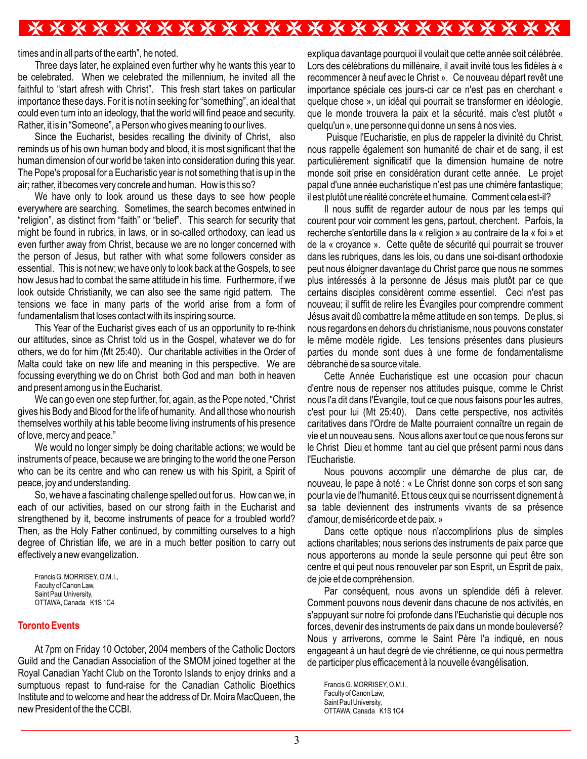## \*\*\*\*\*\*\*\*\*\*\*\*\*\*\*\*\*\*\*\*\*\*\*\*\*

times and in all parts of the earth", he noted.

Three days later, he explained even further why he wants this year to be celebrated. When we celebrated the millennium, he invited all the faithful to "start afresh with Christ". This fresh start takes on particular importance these days. For it is not in seeking for "something", an ideal that could even turn into an ideology, that the world will find peace and security. Rather, it is in "Someone", a Person who gives meaning to our lives.

Since the Eucharist, besides recalling the divinity of Christ, also reminds us of his own human body and blood, it is most significant that the human dimension of our world be taken into consideration during this year. The Pope's proposal for a Eucharistic year is not something that is up in the air; rather, it becomes very concrete and human. How is this so?

We have only to look around us these days to see how people everywhere are searching. Sometimes, the search becomes entwined in "religion", as distinct from "faith" or "belief". This search for security that might be found in rubrics, in laws, or in so-called orthodoxy, can lead us even further away from Christ, because we are no longer concerned with the person of Jesus, but rather with what some followers consider as essential. This is not new; we have only to look back at the Gospels, to see how Jesus had to combat the same attitude in his time. Furthermore, if we look outside Christianity, we can also see the same rigid pattern. The tensions we face in many parts of the world arise from a form of fundamentalism that loses contact with its inspiring source.

This Year of the Eucharist gives each of us an opportunity to re-think our attitudes, since as Christ told us in the Gospel, whatever we do for others, we do for him (Mt 25:40). Our charitable activities in the Order of Malta could take on new life and meaning in this perspective. We are focussing everything we do on Christ both God and man both in heaven and present among us in the Eucharist.

We can go even one step further, for, again, as the Pope noted, "Christ gives his Body and Blood for the life of humanity. And all those who nourish themselves worthily at his table become living instruments of his presence of love, mercy and peace."

We would no longer simply be doing charitable actions; we would be instruments of peace, because we are bringing to the world the one Person who can be its centre and who can renew us with his Spirit, a Spirit of peace, joy and understanding.

So, we have a fascinating challenge spelled out for us. How can we, in each of our activities, based on our strong faith in the Eucharist and strengthened by it, become instruments of peace for a troubled world? Then, as the Holy Father continued, by committing ourselves to a high degree of Christian life, we are in a much better position to carry out effectively a new evangelization.

Francis G. MORRISEY, O.M.I., Faculty of Canon Law, Saint Paul University, OTTAWA, Canada K1S1C4

### **Toronto Events**

At 7pm on Friday 10 October, 2004 members of the Catholic Doctors Guild and the Canadian Association of the SMOM joined together at the Royal Canadian Yacht Club on the Toronto Islands to enjoy drinks and a sumptuous repast to fund-raise for the Canadian Catholic Bioethics Institute and to welcome and hear the address of Dr. Moira MacQueen, the new President of the the CCBI.

expliqua davantage pourquoi il voulait que cette année soit célébrée. Lors des célébrations du millénaire, il avait invité tous les fidèles à « recommencer à neuf avec le Christ ». Ce nouveau départ revêt une importance spéciale ces jours-ci car ce n'est pas en cherchant « quelque chose », un idéal qui pourrait se transformer en idéologie, que le monde trouvera la paix et la sécurité, mais c'est plutôt « quelqu'un », une personne qui donne un sens à nos vies.

 Puisque l'Eucharistie, en plus de rappeler la divinité du Christ, nous rappelle également son humanité de chair et de sang, il est particulièrement significatif que la dimension humaine de notre monde soit prise en considération durant cette année. Le projet papal d'une année eucharistique n'est pas une chimère fantastique; il est plutôt une réalité concrète et humaine. Comment cela est-il?

Il nous suffit de regarder autour de nous par les temps qui courent pour voir comment les gens, partout, cherchent. Parfois, la recherche s'entortille dans la « religion » au contraire de la « foi » et de la « croyance ». Cette quête de sécurité qui pourrait se trouver dans les rubriques, dans les lois, ou dans une soi-disant orthodoxie peut nous éloigner davantage du Christ parce que nous ne sommes plus intéressés à la personne de Jésus mais plutôt par ce que certains disciples considèrent comme essentiel. Ceci n'est pas nouveau; il suffit de relire les Évangiles pour comprendre comment Jésus avait dû combattre la même attitude en son temps. De plus, si nous regardons en dehors du christianisme, nous pouvons constater le même modèle rigide. Les tensions présentes dans plusieurs parties du monde sont dues à une forme de fondamentalisme débranché de sa source vitale.

Cette Année Eucharistique est une occasion pour chacun d'entre nous de repenser nos attitudes puisque, comme le Christ nous l'a dit dans l'Évangile, tout ce que nous faisons pour les autres, c'est pour lui (Mt 25:40). Dans cette perspective, nos activités caritatives dans l'Ordre de Malte pourraient connaître un regain de vie et un nouveau sens. Nous allons axer tout ce que nous ferons sur le Christ Dieu et homme tant au ciel que présent parmi nous dans l'Eucharistie.

Nous pouvons accomplir une démarche de plus car, de nouveau, le pape à noté : « Le Christ donne son corps et son sang pour la vie de l'humanité. Et tous ceux qui se nourrissent dignement à sa table deviennent des instruments vivants de sa présence d'amour, de miséricorde et de paix. »

Dans cette optique nous n'accomplirions plus de simples actions charitables; nous serions des instruments de paix parce que nous apporterons au monde la seule personne qui peut être son centre et qui peut nous renouveler par son Esprit, un Esprit de paix, de joie et de compréhension.

Par conséquent, nous avons un splendide défi à relever. Comment pouvons nous devenir dans chacune de nos activités, en s'appuyant sur notre foi profonde dans l'Eucharistie qui décuple nos forces, devenir des instruments de paix dans un monde bouleversé? Nous y arriverons, comme le Saint Père l'a indiqué, en nous engageant à un haut degré de vie chrétienne, ce qui nous permettra de participer plus efficacement à la nouvelle évangélisation.

Francis G. MORRISEY, O.M.I., Faculty of Canon Law, Saint Paul University, OTTAWA, Canada K1S1C4